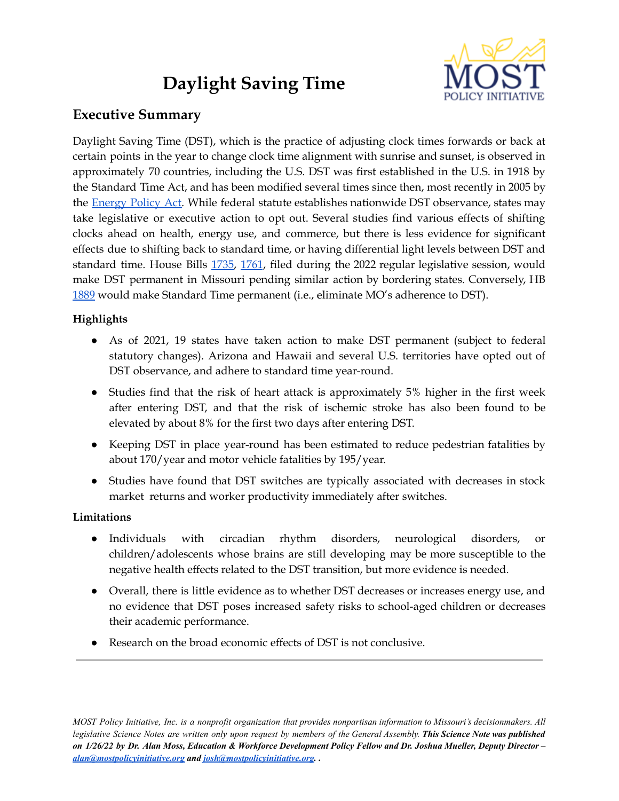# **Daylight Saving Time**



# **Executive Summary**

Daylight Saving Time (DST), which is the practice of adjusting clock times forwards or back at certain points in the year to change clock time alignment with sunrise and sunset, is observed in approximately 70 countries, including the U.S. DST was first established in the U.S. in 1918 by the Standard Time Act, and has been modified several times since then, most recently in 2005 by the **[Energy](https://www.govinfo.gov/content/pkg/BILLS-109hr6enr/pdf/BILLS-109hr6enr.pdf) Policy Act.** While federal statute establishes nationwide DST observance, states may take legislative or executive action to opt out. Several studies find various effects of shifting clocks ahead on health, energy use, and commerce, but there is less evidence for significant effects due to shifting back to standard time, or having differential light levels between DST and standard time. House Bills [1735](https://house.mo.gov/Bill.aspx?bill=HB1735&year=2022&code=R), [1761](https://house.mo.gov/Bill.aspx?bill=HB1761&year=2022&code=R), filed during the 2022 regular legislative session, would make DST permanent in Missouri pending similar action by bordering states. Conversely, HB [1889](https://house.mo.gov/Bill.aspx?bill=HB1889&year=2022&code=R) would make Standard Time permanent (i.e., eliminate MO's adherence to DST).

# **Highlights**

- As of 2021, 19 states have taken action to make DST permanent (subject to federal statutory changes). Arizona and Hawaii and several U.S. territories have opted out of DST observance, and adhere to standard time year-round.
- Studies find that the risk of heart attack is approximately 5% higher in the first week after entering DST, and that the risk of ischemic stroke has also been found to be elevated by about 8% for the first two days after entering DST.
- Keeping DST in place year-round has been estimated to reduce pedestrian fatalities by about 170/year and motor vehicle fatalities by 195/year.
- Studies have found that DST switches are typically associated with decreases in stock market returns and worker productivity immediately after switches.

# **Limitations**

- Individuals with circadian rhythm disorders, neurological disorders, or children/adolescents whose brains are still developing may be more susceptible to the negative health effects related to the DST transition, but more evidence is needed.
- Overall, there is little evidence as to whether DST decreases or increases energy use, and no evidence that DST poses increased safety risks to school-aged children or decreases their academic performance.
- Research on the broad economic effects of DST is not conclusive.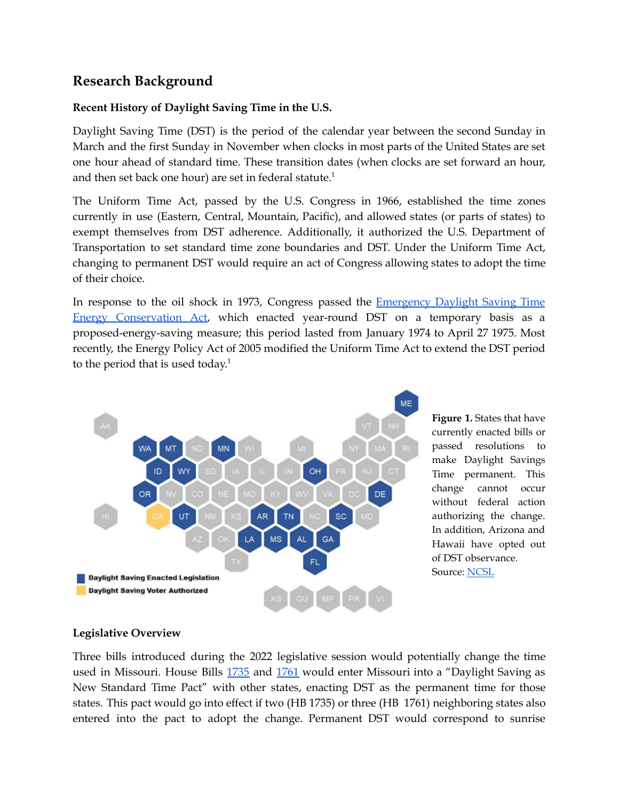# **Research Background**

## **Recent History of Daylight Saving Time in the U.S.**

Daylight Saving Time (DST) is the period of the calendar year between the second Sunday in March and the first Sunday in November when clocks in most parts of the United States are set one hour ahead of standard time. These transition dates (when clocks are set forward an hour, and then set back one hour) are set in federal statute. $^1$ 

The Uniform Time Act, passed by the U.S. Congress in 1966, established the time zones currently in use (Eastern, Central, Mountain, Pacific), and allowed states (or parts of states) to exempt themselves from DST adherence. Additionally, it authorized the U.S. Department of Transportation to set standard time zone boundaries and DST. Under the Uniform Time Act, changing to permanent DST would require an act of Congress allowing states to adopt the time of their choice.

In response to the oil shock in 1973, Congress passed the [Emergency](https://www.congress.gov/bill/93rd-congress/house-bill/11324) Daylight Saving Time Energy [Conservation](https://www.congress.gov/bill/93rd-congress/house-bill/11324) Act, which enacted year-round DST on a temporary basis as a proposed-energy-saving measure; this period lasted from January 1974 to April 27 1975. Most recently, the Energy Policy Act of 2005 modified the Uniform Time Act to extend the DST period to the period that is used today.<sup>1</sup>



**Figure 1.** States that have currently enacted bills or passed resolutions to make Daylight Savings Time permanent. This change cannot occur without federal action authorizing the change. In addition, Arizona and Hawaii have opted out of DST observance. Source: [NCSL](https://www.ncsl.org/research/transportation/%20daylight-savings-time-state-legislation.aspx)

### **Legislative Overview**

Three bills introduced during the 2022 legislative session would potentially change the time used in Missouri. House Bills [1735](https://house.mo.gov/Bill.aspx?bill=HB1735&year=2022&code=R) and [1761](https://house.mo.gov/Bill.aspx?bill=HB1761&year=2022&code=R) would enter Missouri into a "Daylight Saving as New Standard Time Pact" with other states, enacting DST as the permanent time for those states. This pact would go into effect if two (HB 1735) or three (HB 1761) neighboring states also entered into the pact to adopt the change. Permanent DST would correspond to sunrise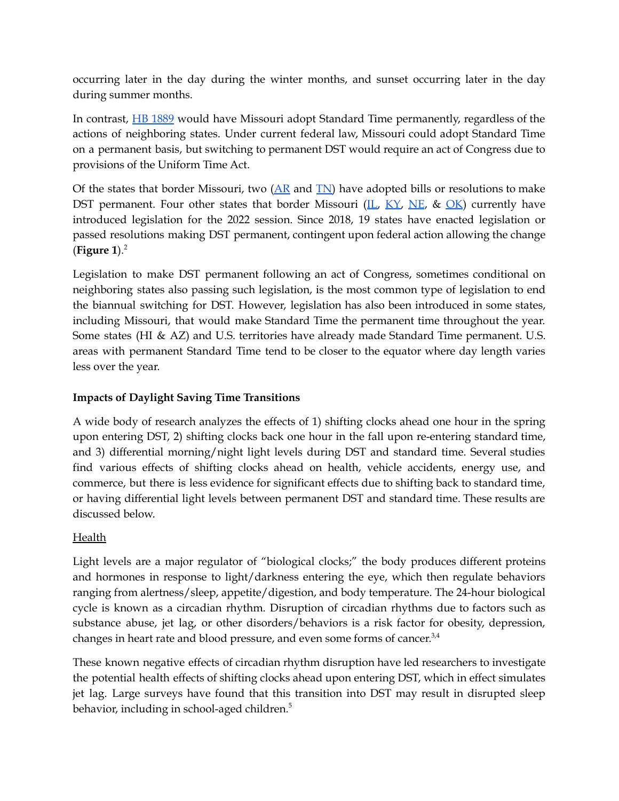occurring later in the day during the winter months, and sunset occurring later in the day during summer months.

In contrast, HB [1889](https://house.mo.gov/Bill.aspx?bill=HB1889&year=2022&code=R) would have Missouri adopt Standard Time permanently, regardless of the actions of neighboring states. Under current federal law, Missouri could adopt Standard Time on a permanent basis, but switching to permanent DST would require an act of Congress due to provisions of the Uniform Time Act.

Of the states that border Missouri, two  $(AR \text{ and } TN)$  $(AR \text{ and } TN)$  $(AR \text{ and } TN)$  have adopted bills or resolutions to make DST permanent. Four other states that border Missouri [\(IL,](https://www.ilga.gov/legislation/BillStatus.asp?DocNum=4224&GAID=16&DocTypeID=HB&SessionID=110&GA=102)  $\overline{KY}$ , [NE](https://nebraskalegislature.gov/bills/view_bill.php?DocumentID=43578), & [OK](http://www.oklegislature.gov/BillInfo.aspx?Bill=SB1103&Session=2200)) currently have introduced legislation for the 2022 session. Since 2018, 19 states have enacted legislation or passed resolutions making DST permanent, contingent upon federal action allowing the change (**Figure 1**). 2

Legislation to make DST permanent following an act of Congress, sometimes conditional on neighboring states also passing such legislation, is the most common type of legislation to end the biannual switching for DST. However, legislation has also been introduced in some states, including Missouri, that would make Standard Time the permanent time throughout the year. Some states (HI & AZ) and U.S. territories have already made Standard Time permanent. U.S. areas with permanent Standard Time tend to be closer to the equator where day length varies less over the year.

# **Impacts of Daylight Saving Time Transitions**

A wide body of research analyzes the effects of 1) shifting clocks ahead one hour in the spring upon entering DST, 2) shifting clocks back one hour in the fall upon re-entering standard time, and 3) differential morning/night light levels during DST and standard time. Several studies find various effects of shifting clocks ahead on health, vehicle accidents, energy use, and commerce, but there is less evidence for significant effects due to shifting back to standard time, or having differential light levels between permanent DST and standard time. These results are discussed below.

## **Health**

Light levels are a major regulator of "biological clocks;" the body produces different proteins and hormones in response to light/darkness entering the eye, which then regulate behaviors ranging from alertness/sleep, appetite/digestion, and body temperature. The 24-hour biological cycle is known as a circadian rhythm. Disruption of circadian rhythms due to factors such as substance abuse, jet lag, or other disorders/behaviors is a risk factor for obesity, depression, changes in heart rate and blood pressure, and even some forms of cancer. $3,4$ 

These known negative effects of circadian rhythm disruption have led researchers to investigate the potential health effects of shifting clocks ahead upon entering DST, which in effect simulates jet lag. Large surveys have found that this transition into DST may result in disrupted sleep behavior, including in school-aged children. 5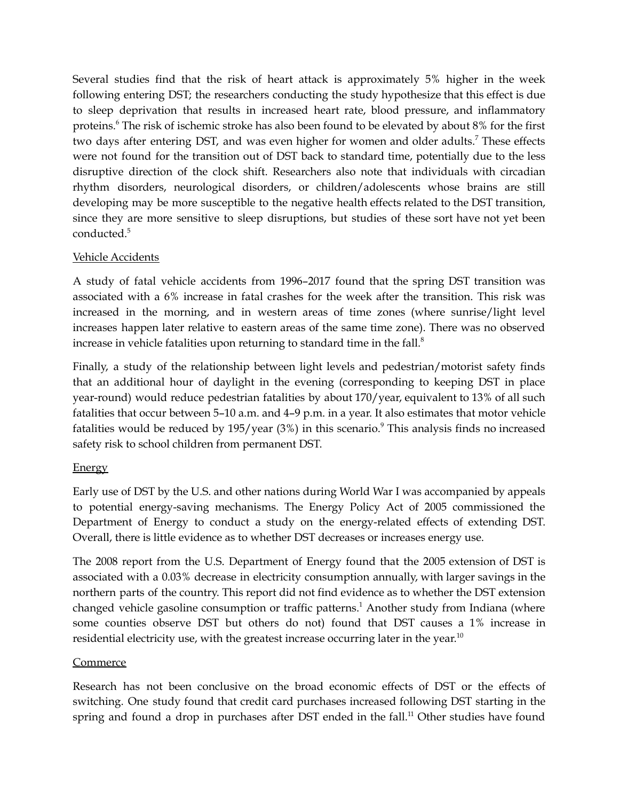Several studies find that the risk of heart attack is approximately 5% higher in the week following entering DST; the researchers conducting the study hypothesize that this effect is due to sleep deprivation that results in increased heart rate, blood pressure, and inflammatory proteins.<sup>6</sup> The risk of ischemic stroke has also been found to be elevated by about 8% for the first two days after entering DST, and was even higher for women and older adults.<sup>7</sup> These effects were not found for the transition out of DST back to standard time, potentially due to the less disruptive direction of the clock shift. Researchers also note that individuals with circadian rhythm disorders, neurological disorders, or children/adolescents whose brains are still developing may be more susceptible to the negative health effects related to the DST transition, since they are more sensitive to sleep disruptions, but studies of these sort have not yet been conducted. 5

## Vehicle Accidents

A study of fatal vehicle accidents from 1996–2017 found that the spring DST transition was associated with a 6% increase in fatal crashes for the week after the transition. This risk was increased in the morning, and in western areas of time zones (where sunrise/light level increases happen later relative to eastern areas of the same time zone). There was no observed increase in vehicle fatalities upon returning to standard time in the fall. 8

Finally, a study of the relationship between light levels and pedestrian/motorist safety finds that an additional hour of daylight in the evening (corresponding to keeping DST in place year-round) would reduce pedestrian fatalities by about 170/year, equivalent to 13% of all such fatalities that occur between 5–10 a.m. and 4–9 p.m. in a year. It also estimates that motor vehicle fatalities would be reduced by 195/year (3%) in this scenario. <sup>9</sup> This analysis finds no increased safety risk to school children from permanent DST.

### Energy

Early use of DST by the U.S. and other nations during World War I was accompanied by appeals to potential energy-saving mechanisms. The Energy Policy Act of 2005 commissioned the Department of Energy to conduct a study on the energy-related effects of extending DST. Overall, there is little evidence as to whether DST decreases or increases energy use.

The 2008 report from the U.S. Department of Energy found that the 2005 extension of DST is associated with a 0.03% decrease in electricity consumption annually, with larger savings in the northern parts of the country. This report did not find evidence as to whether the DST extension changed vehicle gasoline consumption or traffic patterns. <sup>1</sup> Another study from Indiana (where some counties observe DST but others do not) found that DST causes a 1% increase in residential electricity use, with the greatest increase occurring later in the year.<sup>10</sup>

### **Commerce**

Research has not been conclusive on the broad economic effects of DST or the effects of switching. One study found that credit card purchases increased following DST starting in the spring and found a drop in purchases after DST ended in the fall.<sup>11</sup> Other studies have found